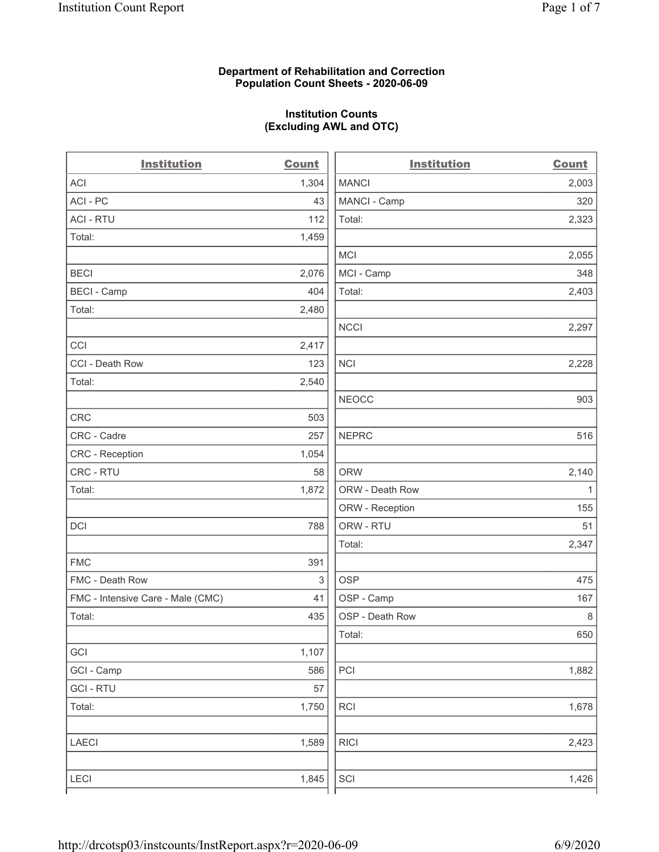### **Department of Rehabilitation and Correction Population Count Sheets - 2020-06-09**

# **Institution Counts (Excluding AWL and OTC)**

. .

| <b>Institution</b>                | <b>Count</b>              | <b>Institution</b> | <b>Count</b> |
|-----------------------------------|---------------------------|--------------------|--------------|
| <b>ACI</b>                        | 1,304                     | <b>MANCI</b>       | 2,003        |
| ACI-PC                            | 43                        | MANCI - Camp       | 320          |
| <b>ACI - RTU</b>                  | 112                       | Total:             | 2,323        |
| Total:                            | 1,459                     |                    |              |
|                                   |                           | MCI                | 2,055        |
| <b>BECI</b>                       | 2,076                     | MCI - Camp         | 348          |
| <b>BECI - Camp</b>                | 404                       | Total:             | 2,403        |
| Total:                            | 2,480                     |                    |              |
|                                   |                           | <b>NCCI</b>        | 2,297        |
| CCI                               | 2,417                     |                    |              |
| CCI - Death Row                   | 123                       | <b>NCI</b>         | 2,228        |
| Total:                            | 2,540                     |                    |              |
|                                   |                           | <b>NEOCC</b>       | 903          |
| <b>CRC</b>                        | 503                       |                    |              |
| CRC - Cadre                       | 257                       | <b>NEPRC</b>       | 516          |
| CRC - Reception                   | 1,054                     |                    |              |
| CRC - RTU                         | 58                        | <b>ORW</b>         | 2,140        |
| Total:                            | 1,872                     | ORW - Death Row    | $\mathbf{1}$ |
|                                   |                           | ORW - Reception    | 155          |
| DCI                               | 788                       | ORW - RTU          | 51           |
|                                   |                           | Total:             | 2,347        |
| <b>FMC</b>                        | 391                       |                    |              |
| FMC - Death Row                   | $\ensuremath{\mathsf{3}}$ | <b>OSP</b>         | 475          |
| FMC - Intensive Care - Male (CMC) | 41                        | OSP - Camp         | 167          |
| Total:                            | 435                       | OSP - Death Row    | 8            |
|                                   |                           | Total:             | 650          |
| GCI                               | 1,107                     |                    |              |
| GCI - Camp                        | 586                       | PCI                | 1,882        |
| <b>GCI-RTU</b>                    | 57                        |                    |              |
| Total:                            | 1,750                     | RCI                | 1,678        |
| <b>LAECI</b>                      | 1,589                     | <b>RICI</b>        | 2,423        |
| <b>LECI</b>                       | 1,845                     | SCI                | 1,426        |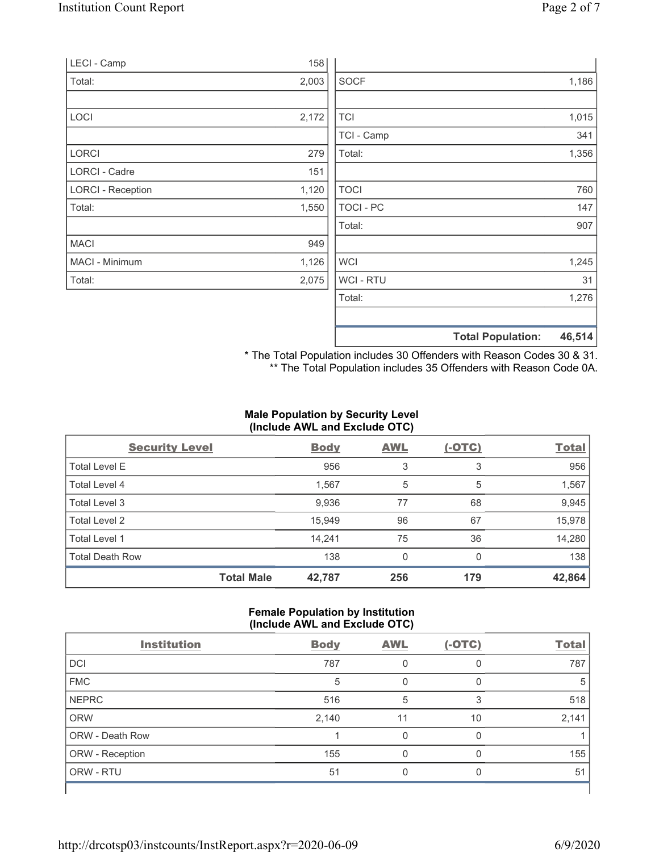| LECI - Camp              | 158   |             |                                    |  |
|--------------------------|-------|-------------|------------------------------------|--|
| Total:                   | 2,003 | <b>SOCF</b> | 1,186                              |  |
|                          |       |             |                                    |  |
| LOCI                     | 2,172 | <b>TCI</b>  | 1,015                              |  |
|                          |       | TCI - Camp  | 341                                |  |
| <b>LORCI</b>             | 279   | Total:      | 1,356                              |  |
| LORCI - Cadre            | 151   |             |                                    |  |
| <b>LORCI - Reception</b> | 1,120 | <b>TOCI</b> | 760                                |  |
| Total:                   | 1,550 | TOCI - PC   | 147                                |  |
|                          |       | Total:      | 907                                |  |
| <b>MACI</b>              | 949   |             |                                    |  |
| MACI - Minimum           | 1,126 | <b>WCI</b>  | 1,245                              |  |
| Total:                   | 2,075 | WCI - RTU   | 31                                 |  |
|                          |       | Total:      | 1,276                              |  |
|                          |       |             |                                    |  |
|                          |       |             | 46,514<br><b>Total Population:</b> |  |

\* The Total Population includes 30 Offenders with Reason Codes 30 & 31. \*\* The Total Population includes 35 Offenders with Reason Code 0A.

## **Male Population by Security Level (Include AWL and Exclude OTC)**

| <b>Security Level</b>  |                   | <b>Body</b> | <b>AWL</b> | $(-OTC)$ | <b>Total</b> |
|------------------------|-------------------|-------------|------------|----------|--------------|
| <b>Total Level E</b>   |                   | 956         | 3          | 3        | 956          |
| Total Level 4          |                   | 1,567       | 5          | 5        | 1,567        |
| Total Level 3          |                   | 9,936       | 77         | 68       | 9,945        |
| Total Level 2          |                   | 15,949      | 96         | 67       | 15,978       |
| Total Level 1          |                   | 14,241      | 75         | 36       | 14,280       |
| <b>Total Death Row</b> |                   | 138         | 0          | $\Omega$ | 138          |
|                        | <b>Total Male</b> | 42,787      | 256        | 179      | 42,864       |

## **Female Population by Institution (Include AWL and Exclude OTC)**

| <b>Institution</b> | <b>Body</b> | <b>AWL</b> | $(-OTC)$ | <b>Total</b> |
|--------------------|-------------|------------|----------|--------------|
| <b>DCI</b>         | 787         |            |          | 787          |
| <b>FMC</b>         | 5           |            | 0        | 5            |
| <b>NEPRC</b>       | 516         | 5          | 3        | 518          |
| <b>ORW</b>         | 2,140       | 11         | 10       | 2,141        |
| ORW - Death Row    |             |            | 0        |              |
| ORW - Reception    | 155         | $\Omega$   | 0        | 155          |
| ORW - RTU          | 51          | 0          | O        | 51           |
|                    |             |            |          |              |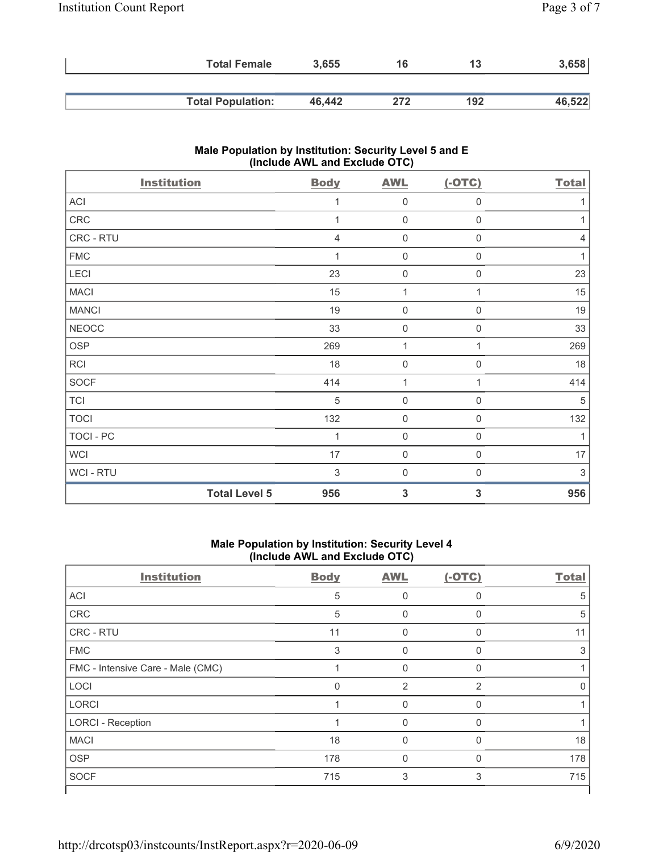| <b>Total Female</b>      | 3,655  | 16  | 13  | 3,658  |
|--------------------------|--------|-----|-----|--------|
|                          |        |     |     |        |
| <b>Total Population:</b> | 46.442 | 272 | 192 | 46,522 |

# **Male Population by Institution: Security Level 5 and E (Include AWL and Exclude OTC)**

| <b>Institution</b> | <b>Body</b>                 | <b>AWL</b>                               | $(-OTC)$         | <b>Total</b>   |
|--------------------|-----------------------------|------------------------------------------|------------------|----------------|
| ACI                |                             | 0<br>1                                   | 0                | 1              |
| ${\sf CRC}$        |                             | $\mathsf{O}\xspace$<br>1                 | 0                | 1              |
| CRC - RTU          |                             | 0<br>$\overline{4}$                      | $\mathbf 0$      | $\overline{4}$ |
| ${\sf FMC}$        |                             | 0<br>1                                   | $\boldsymbol{0}$ | 1              |
| LECI               |                             | 23<br>$\boldsymbol{0}$                   | $\mathbf 0$      | 23             |
| <b>MACI</b>        |                             | 15<br>$\mathbf{1}$                       | 1                | 15             |
| <b>MANCI</b>       |                             | 19<br>$\mathbf 0$                        | $\mathbf 0$      | 19             |
| <b>NEOCC</b>       |                             | $\mathbf 0$<br>33                        | $\mathbf 0$      | 33             |
| OSP                | 269                         | $\mathbf{1}$                             | 1                | 269            |
| RCI                |                             | 18<br>$\boldsymbol{0}$                   | $\mathbf 0$      | 18             |
| SOCF               | 414                         | 1                                        | 1                | 414            |
| <b>TCI</b>         |                             | $\,$ 5 $\,$<br>$\mathbf 0$               | 0                | $\mathbf 5$    |
| <b>TOCI</b>        | 132                         | $\mathbf 0$                              | 0                | 132            |
| TOCI - PC          |                             | $\boldsymbol{0}$<br>1                    | 0                | 1              |
| <b>WCI</b>         |                             | 17<br>$\mathsf{O}\xspace$                | 0                | 17             |
| WCI - RTU          |                             | $\ensuremath{\mathsf{3}}$<br>$\mathbf 0$ | 0                | 3              |
|                    | <b>Total Level 5</b><br>956 | 3                                        | 3                | 956            |

### **Male Population by Institution: Security Level 4 (Include AWL and Exclude OTC)**

| <b>Institution</b>                | <b>Body</b>  | <b>AWL</b>     | $(-OTC)$ | <b>Total</b>     |
|-----------------------------------|--------------|----------------|----------|------------------|
| ACI                               | 5            | 0              | 0        | 5                |
| CRC                               | 5            | 0              | $\Omega$ | 5                |
| <b>CRC - RTU</b>                  | 11           | 0              | 0        | 11               |
| <b>FMC</b>                        | 3            | 0              | $\Omega$ | 3                |
| FMC - Intensive Care - Male (CMC) |              | 0              | 0        |                  |
| LOCI                              | $\mathbf{0}$ | $\overline{2}$ | 2        | $\left( \right)$ |
| <b>LORCI</b>                      |              | $\mathbf{0}$   | $\Omega$ |                  |
| <b>LORCI - Reception</b>          |              | 0              | $\Omega$ |                  |
| <b>MACI</b>                       | 18           | $\Omega$       | $\Omega$ | 18               |
| <b>OSP</b>                        | 178          | 0              | $\Omega$ | 178              |
| <b>SOCF</b>                       | 715          | 3              | 3        | 715              |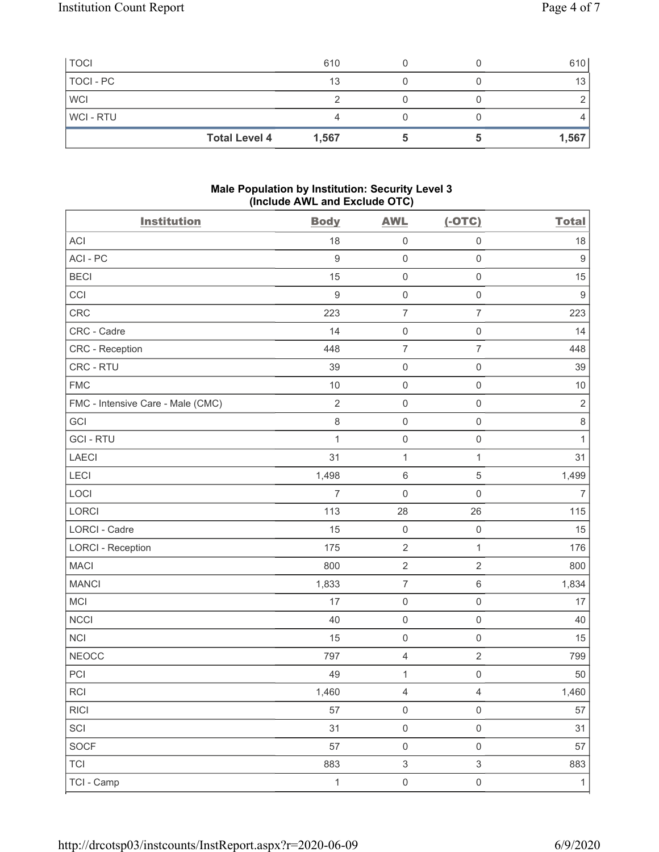| <b>TOCI</b>          | 610   |  | 610   |
|----------------------|-------|--|-------|
| TOCI - PC            | 13    |  | 13    |
| <b>WCI</b>           |       |  |       |
| <b>WCI-RTU</b>       |       |  |       |
| <b>Total Level 4</b> | 1,567 |  | 1,567 |

### **Male Population by Institution: Security Level 3 (Include AWL and Exclude OTC)**

| <b>Institution</b>                | <b>Body</b>      | <b>AWL</b>          | $(-OTC)$            | <b>Total</b>   |
|-----------------------------------|------------------|---------------------|---------------------|----------------|
| <b>ACI</b>                        | 18               | $\mathsf 0$         | $\mathsf 0$         | 18             |
| ACI-PC                            | $\overline{9}$   | $\mathsf 0$         | $\mathbf 0$         | $9\,$          |
| <b>BECI</b>                       | 15               | $\mathsf{O}\xspace$ | $\mathbf 0$         | 15             |
| CCI                               | $\boldsymbol{9}$ | $\mathsf{O}\xspace$ | $\mathsf{O}\xspace$ | $9\,$          |
| CRC                               | 223              | $\overline{7}$      | $\overline{7}$      | 223            |
| CRC - Cadre                       | 14               | $\mathsf{O}\xspace$ | $\mathsf 0$         | 14             |
| <b>CRC</b> - Reception            | 448              | $\overline{7}$      | $\overline{7}$      | 448            |
| CRC - RTU                         | 39               | $\mathsf{O}\xspace$ | $\mathbf 0$         | 39             |
| <b>FMC</b>                        | 10               | $\mathsf{O}\xspace$ | $\mathsf{O}\xspace$ | 10             |
| FMC - Intensive Care - Male (CMC) | $\overline{2}$   | $\mathsf 0$         | $\mathsf 0$         | $\sqrt{2}$     |
| GCI                               | 8                | $\mathsf 0$         | $\mathsf 0$         | $\,8\,$        |
| <b>GCI-RTU</b>                    | $\mathbf{1}$     | $\mathsf{O}\xspace$ | $\mathbf 0$         | $\mathbf{1}$   |
| LAECI                             | 31               | 1                   | $\mathbf 1$         | 31             |
| LECI                              | 1,498            | $\,6\,$             | $\mathbf 5$         | 1,499          |
| LOCI                              | $\overline{7}$   | $\mathbf 0$         | $\mathsf 0$         | $\overline{7}$ |
| LORCI                             | 113              | 28                  | 26                  | 115            |
| <b>LORCI - Cadre</b>              | 15               | $\mathsf{O}\xspace$ | $\mathsf{O}\xspace$ | 15             |
| <b>LORCI - Reception</b>          | 175              | $\sqrt{2}$          | $\mathbf{1}$        | 176            |
| <b>MACI</b>                       | 800              | $\sqrt{2}$          | $\sqrt{2}$          | 800            |
| <b>MANCI</b>                      | 1,833            | $\overline{7}$      | $\,6$               | 1,834          |
| MCI                               | 17               | $\mathsf{O}\xspace$ | $\mathsf{O}\xspace$ | 17             |
| <b>NCCI</b>                       | 40               | $\mathsf{O}\xspace$ | $\mathbf 0$         | 40             |
| <b>NCI</b>                        | 15               | $\mathsf 0$         | $\mathbf 0$         | 15             |
| <b>NEOCC</b>                      | 797              | $\sqrt{4}$          | $\sqrt{2}$          | 799            |
| PCI                               | 49               | 1                   | $\mathsf{O}\xspace$ | 50             |
| RCI                               | 1,460            | 4                   | 4                   | 1,460          |
| <b>RICI</b>                       | 57               | $\mathsf 0$         | $\mathsf{O}\xspace$ | 57             |
| SCI                               | 31               | $\mathsf{O}\xspace$ | $\mathsf{O}\xspace$ | 31             |
| SOCF                              | 57               | $\mathsf{O}\xspace$ | $\mathbf 0$         | 57             |
| <b>TCI</b>                        | 883              | $\,$ 3 $\,$         | $\mathfrak{S}$      | 883            |
| TCI - Camp                        | $\mathbf{1}$     | $\mathsf 0$         | $\mathsf{O}\xspace$ | $\mathbf{1}$   |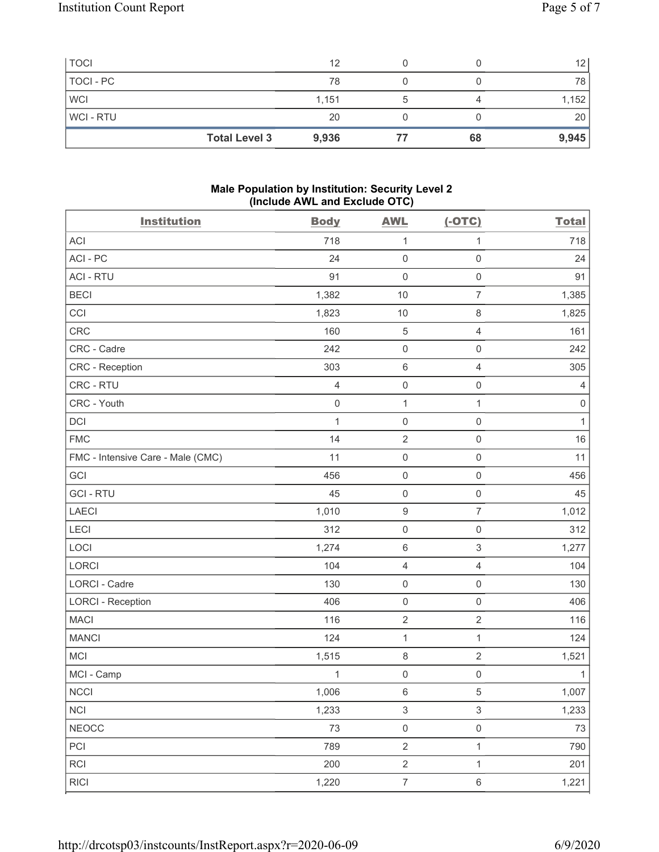| <b>TOCI</b> |                      | 12    |    | 12    |
|-------------|----------------------|-------|----|-------|
| TOCI - PC   |                      | 78    |    | 78    |
| <b>WCI</b>  |                      | 1,151 |    | 1,152 |
| WCI-RTU     |                      | 20    |    | 20    |
|             | <b>Total Level 3</b> | 9,936 | 68 | 9,945 |

### **Male Population by Institution: Security Level 2 (Include AWL and Exclude OTC)**

| <b>Institution</b>                | <b>Body</b>    | <b>AWL</b>                | $(-OTC)$            | <b>Total</b>   |
|-----------------------------------|----------------|---------------------------|---------------------|----------------|
| <b>ACI</b>                        | 718            | $\mathbf{1}$              | 1                   | 718            |
| ACI-PC                            | 24             | $\mathbf 0$               | $\mathbf 0$         | 24             |
| <b>ACI - RTU</b>                  | 91             | $\mathbf 0$               | $\mathbf 0$         | 91             |
| <b>BECI</b>                       | 1,382          | 10                        | $\overline{7}$      | 1,385          |
| CCI                               | 1,823          | 10                        | $\,8\,$             | 1,825          |
| CRC                               | 160            | $\sqrt{5}$                | $\overline{4}$      | 161            |
| CRC - Cadre                       | 242            | $\mathsf{O}\xspace$       | $\mathbf 0$         | 242            |
| CRC - Reception                   | 303            | $\,6\,$                   | $\overline{4}$      | 305            |
| CRC - RTU                         | $\overline{4}$ | $\mathsf{O}\xspace$       | $\mathbf 0$         | $\overline{4}$ |
| CRC - Youth                       | $\mathbf 0$    | $\mathbf{1}$              | $\mathbf{1}$        | $\,0\,$        |
| DCI                               | 1              | $\mathsf{O}\xspace$       | $\mathsf{O}\xspace$ | $\mathbf{1}$   |
| <b>FMC</b>                        | 14             | $\sqrt{2}$                | $\mathbf 0$         | 16             |
| FMC - Intensive Care - Male (CMC) | 11             | $\mathsf 0$               | $\mathbf 0$         | 11             |
| GCI                               | 456            | $\mathsf{O}\xspace$       | $\mathbf 0$         | 456            |
| <b>GCI-RTU</b>                    | 45             | $\mathbf 0$               | $\mathsf{O}\xspace$ | 45             |
| <b>LAECI</b>                      | 1,010          | $\boldsymbol{9}$          | $\overline{7}$      | 1,012          |
| LECI                              | 312            | $\mathsf{O}\xspace$       | $\mathbf 0$         | 312            |
| LOCI                              | 1,274          | $\,6\,$                   | $\,$ 3 $\,$         | 1,277          |
| LORCI                             | 104            | $\sqrt{4}$                | $\overline{4}$      | 104            |
| <b>LORCI - Cadre</b>              | 130            | $\mathbf 0$               | $\mathsf{O}\xspace$ | 130            |
| <b>LORCI - Reception</b>          | 406            | $\mathsf{O}\xspace$       | $\mathsf 0$         | 406            |
| <b>MACI</b>                       | 116            | $\sqrt{2}$                | $\overline{2}$      | 116            |
| <b>MANCI</b>                      | 124            | $\mathbf{1}$              | $\mathbf{1}$        | 124            |
| MCI                               | 1,515          | $\,8\,$                   | $\sqrt{2}$          | 1,521          |
| MCI - Camp                        | 1              | $\mathbf 0$               | $\mathsf{O}\xspace$ | 1              |
| $\sf NCCI$                        | 1,006          | $\,6\,$                   | $\,$ 5 $\,$         | 1,007          |
| <b>NCI</b>                        | 1,233          | $\ensuremath{\mathsf{3}}$ | $\mathsf 3$         | 1,233          |
| <b>NEOCC</b>                      | 73             | $\mathsf{O}\xspace$       | $\mathsf{O}\xspace$ | $73\,$         |
| PCI                               | 789            | $\sqrt{2}$                | $\mathbf{1}$        | 790            |
| <b>RCI</b>                        | 200            | $\sqrt{2}$                | $\mathbf{1}$        | 201            |
| <b>RICI</b>                       | 1,220          | $\overline{7}$            | $\,6\,$             | 1,221          |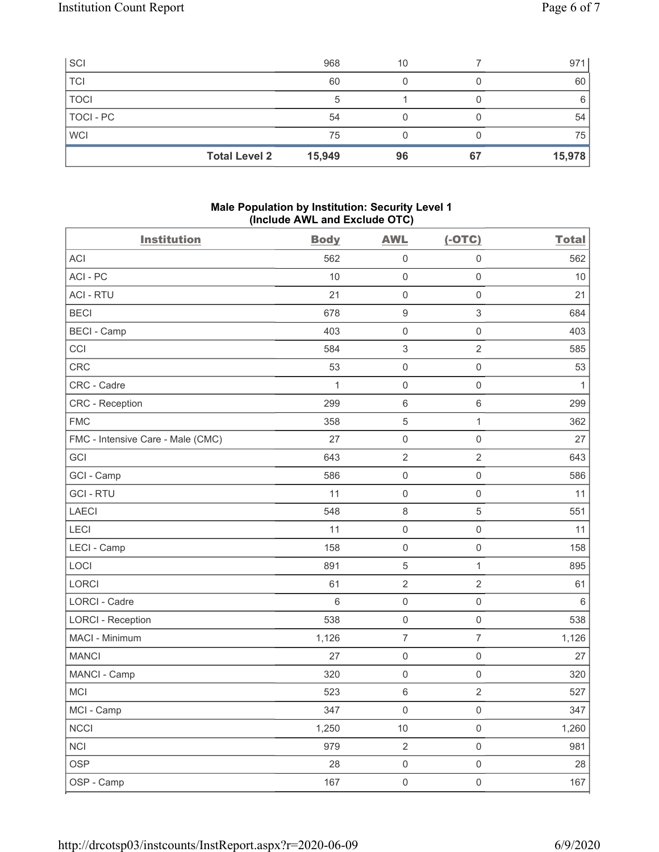| SCI                  | 968    | 10 |    | 971    |
|----------------------|--------|----|----|--------|
| <b>TCI</b>           | 60     |    |    | 60     |
| <b>TOCI</b>          | 5      |    |    | 6      |
| TOCI - PC            | 54     |    |    | 54     |
| <b>WCI</b>           | 75     |    |    | 75     |
| <b>Total Level 2</b> | 15,949 | 96 | 67 | 15,978 |

### **Male Population by Institution: Security Level 1 (Include AWL and Exclude OTC)**

| <b>Institution</b>                | <b>Body</b>     | <b>AWL</b>                | $(-OTC)$            | <b>Total</b> |
|-----------------------------------|-----------------|---------------------------|---------------------|--------------|
| <b>ACI</b>                        | 562             | 0                         | $\mathsf{O}\xspace$ | 562          |
| ACI-PC                            | 10              | $\mathsf{O}\xspace$       | $\mathsf{O}\xspace$ | $10$         |
| <b>ACI - RTU</b>                  | 21              | $\boldsymbol{0}$          | $\mathsf 0$         | 21           |
| <b>BECI</b>                       | 678             | $\boldsymbol{9}$          | $\,$ 3 $\,$         | 684          |
| <b>BECI - Camp</b>                | 403             | $\mathsf 0$               | $\mathsf 0$         | 403          |
| CCI                               | 584             | $\ensuremath{\mathsf{3}}$ | $\sqrt{2}$          | 585          |
| CRC                               | 53              | $\mathsf{O}\xspace$       | $\mathsf{O}\xspace$ | 53           |
| CRC - Cadre                       | 1               | $\mathsf{O}\xspace$       | 0                   | $\mathbf{1}$ |
| CRC - Reception                   | 299             | $\,6\,$                   | 6                   | 299          |
| <b>FMC</b>                        | 358             | $\mathbf 5$               | $\mathbf{1}$        | 362          |
| FMC - Intensive Care - Male (CMC) | 27              | $\mathsf{O}\xspace$       | $\mathsf{O}\xspace$ | 27           |
| GCI                               | 643             | $\sqrt{2}$                | $\overline{c}$      | 643          |
| GCI - Camp                        | 586             | $\mathsf{O}\xspace$       | $\mathsf 0$         | 586          |
| <b>GCI-RTU</b>                    | 11              | $\mathsf{O}\xspace$       | $\mathsf{O}\xspace$ | 11           |
| <b>LAECI</b>                      | 548             | $\,8\,$                   | 5                   | 551          |
| LECI                              | 11              | $\mathsf{O}\xspace$       | 0                   | 11           |
| LECI - Camp                       | 158             | $\mathsf{O}\xspace$       | $\mathsf{O}\xspace$ | 158          |
| LOCI                              | 891             | $\mathbf 5$               | $\mathbf{1}$        | 895          |
| LORCI                             | 61              | $\sqrt{2}$                | $\sqrt{2}$          | 61           |
| <b>LORCI - Cadre</b>              | $6\phantom{1}6$ | $\mathsf{O}\xspace$       | $\mathsf{O}\xspace$ | $\,6\,$      |
| <b>LORCI - Reception</b>          | 538             | $\mathsf{O}\xspace$       | $\mathsf 0$         | 538          |
| MACI - Minimum                    | 1,126           | $\boldsymbol{7}$          | $\overline{7}$      | 1,126        |
| <b>MANCI</b>                      | 27              | $\mathsf{O}\xspace$       | $\mathsf{O}\xspace$ | 27           |
| MANCI - Camp                      | 320             | $\mathsf{O}\xspace$       | $\mathsf{O}\xspace$ | 320          |
| MCI                               | 523             | $\,6\,$                   | $\sqrt{2}$          | 527          |
| MCI - Camp                        | 347             | 0                         | 0                   | 347          |
| <b>NCCI</b>                       | 1,250           | $10$                      | $\mathsf{O}\xspace$ | 1,260        |
| <b>NCI</b>                        | 979             | $\sqrt{2}$                | $\mathsf{O}\xspace$ | 981          |
| <b>OSP</b>                        | 28              | $\mathsf{O}\xspace$       | $\mathsf{O}\xspace$ | 28           |
| OSP - Camp                        | 167             | $\mathsf{O}\xspace$       | $\mathsf{O}\xspace$ | 167          |